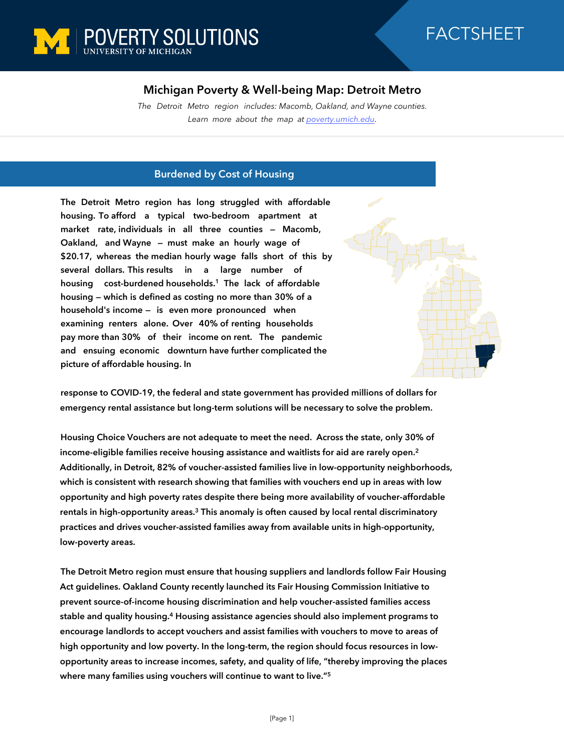

## **Michigan Poverty & Well-being Map: Detroit Metro**

*The Detroit Metro region includes: Macomb, Oakland, and Wayne counties. Learn more about the map at [poverty.umich.edu](https://poverty.umich.edu/research-funding-opportunities/data-tools/michigan-poverty-well-being-map/).*

## **Burdened by Cost of Housing**

**The Detroit Metro region has long struggled with affordable housing. To afford a typical two-bedroom apartment at market rate, individuals in all three counties — Macomb, Oakland, and Wayne — must make an hourly wage of \$20.17, whereas the median hourly wage falls short of this by several dollars. This results in a large number of housing cost-burdened households.<sup>1</sup> The lack of affordable housing — which is defined as costing no more than 30% of a household's income — is even more pronounced when examining renters alone. Over 40% of renting households pay more than 30% of their income on rent. The pandemic and ensuing economic downturn have further complicated the picture of affordable housing. In** 



**response to COVID-19, the federal and state government has provided millions of dollars for emergency rental assistance but long-term solutions will be necessary to solve the problem.**

**Housing Choice Vouchers are not adequate to meet the need. Across the state, only 30% of income-eligible families receive housing assistance and waitlists for aid are rarely open.<sup>2</sup> Additionally, in Detroit, 82% of voucher-assisted families live in low-opportunity neighborhoods, which is consistent with research showing that families with vouchers end up in areas with low opportunity and high poverty rates despite there being more availability of voucher-affordable rentals in high-opportunity areas.<sup>3</sup> This anomaly is often caused by local rental discriminatory practices and drives voucher-assisted families away from available units in high-opportunity, low-poverty areas.** 

**The Detroit Metro region must ensure that housing suppliers and landlords follow Fair Housing Act guidelines. Oakland County recently launched its Fair Housing Commission Initiative to prevent source-of-income housing discrimination and help voucher-assisted families access stable and quality housing.<sup>4</sup> Housing assistance agencies should also implement programs to encourage landlords to accept vouchers and assist families with vouchers to move to areas of high opportunity and low poverty. In the long-term, the region should focus resources in lowopportunity areas to increase incomes, safety, and quality of life, "thereby improving the places where many families using vouchers will continue to want to live."<sup>5</sup>**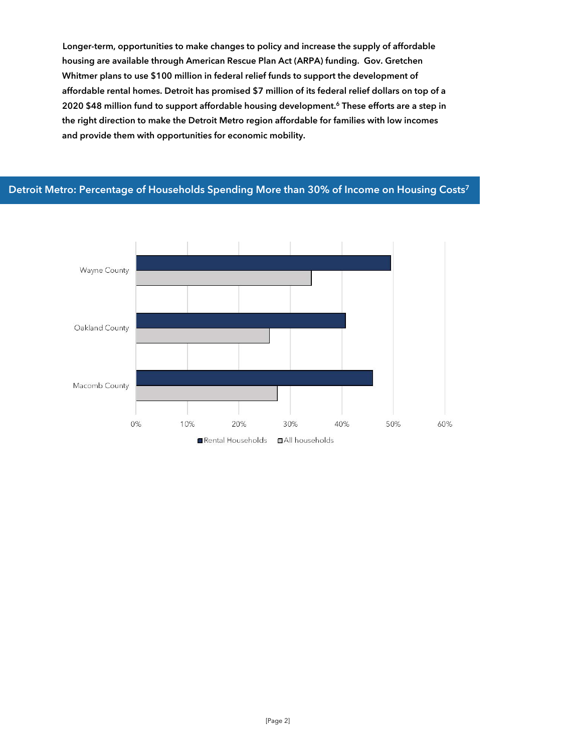**Longer-term, opportunities to make changes to policy and increase the supply of affordable housing are available through American Rescue Plan Act (ARPA) funding. Gov. Gretchen Whitmer plans to use \$100 million in federal relief funds to support the development of affordable rental homes. Detroit has promised \$7 million of its federal relief dollars on top of a 2020 \$48 million fund to support affordable housing development.<sup>6</sup> These efforts are a step in the right direction to make the Detroit Metro region affordable for families with low incomes and provide them with opportunities for economic mobility.**